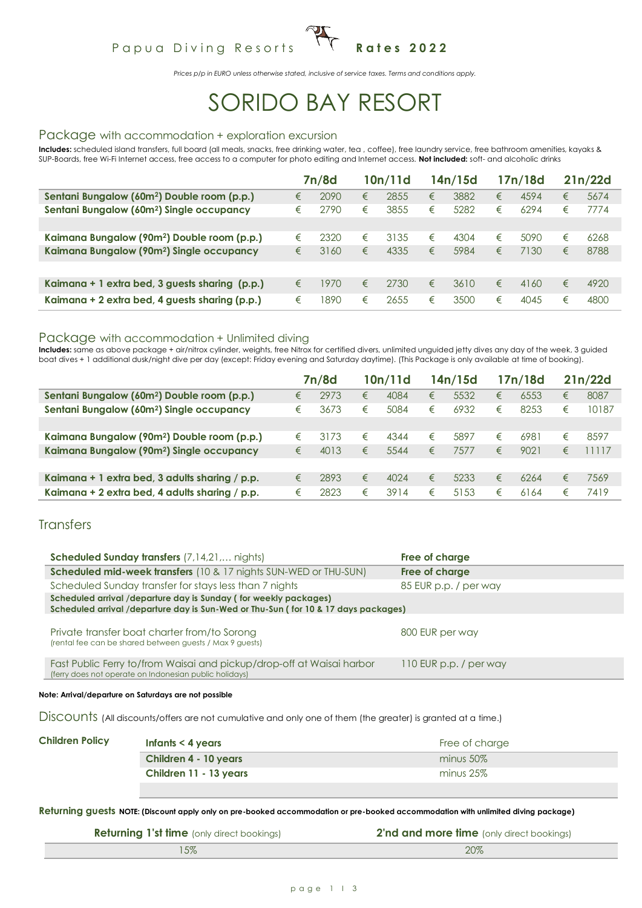# Papua Diving Resorts <sup>1</sup> T Rates 2022

*Prices p/p in EURO unless otherwise stated, inclusive of service taxes. Terms and conditions apply.*

# SORIDO BAY RESORT

#### Package with accommodation + exploration excursion

**Includes:** scheduled island transfers, full board (all meals, snacks, free drinking water, tea , coffee), free laundry service, free bathroom amenities, kayaks & SUP-Boards, free Wi-Fi Internet access, free access to a computer for photo editing and Internet access. **Not included:** soft- and alcoholic drinks

|                                                         |   | 7n/8d |   | 10n/11d |   | 14n/15d |   | 17n/18d |   | 21n/22d |
|---------------------------------------------------------|---|-------|---|---------|---|---------|---|---------|---|---------|
| Sentani Bungalow (60m <sup>2</sup> ) Double room (p.p.) | € | 2090  | € | 2855    | € | 3882    | € | 4594    | € | 5674    |
| Sentani Bungalow (60m <sup>2</sup> ) Single occupancy   | € | 2790  | € | 3855    | € | 5282    | € | 6294    | € | 7774    |
|                                                         |   |       |   |         |   |         |   |         |   |         |
| Kaimana Bungalow (90m <sup>2</sup> ) Double room (p.p.) | € | 2320  | € | 3135    | € | 4304    | € | 5090    | € | 6268    |
| Kaimana Bungalow (90m <sup>2</sup> ) Single occupancy   | € | 3160  | € | 4335    | € | 5984    | € | 7130    | € | 8788    |
|                                                         |   |       |   |         |   |         |   |         |   |         |
| Kaimana + 1 extra bed, 3 guests sharing (p.p.)          | € | 1970  | € | 2730    | € | 3610    | € | 4160    | € | 4920    |
| Kaimana + 2 extra bed, 4 guests sharing (p.p.)          | € | 1890  | € | 2655    | € | 3500    | € | 4045    | € | 4800    |

#### Package with accommodation + Unlimited diving

Includes: same as above package + air/nitrox cylinder, weights, free Nitrox for certified divers, unlimited unguided jetty dives any day of the week, 3 guided boat dives + 1 additional dusk/night dive per day (except: Friday evening and Saturday daytime). (This Package is only available at time of booking).

|                                                         |   | 7n/8d |   | 10n/11d |   | 14n/15d |   | 17n/18d |   | 21n/22d |
|---------------------------------------------------------|---|-------|---|---------|---|---------|---|---------|---|---------|
| Sentani Bungalow (60m <sup>2</sup> ) Double room (p.p.) | € | 2973  | € | 4084    | € | 5532    | € | 6553    | € | 8087    |
| Sentani Bungalow (60m <sup>2</sup> ) Single occupancy   | € | 3673  | € | 5084    | € | 6932    | € | 8253    | € | 10187   |
|                                                         |   |       |   |         |   |         |   |         |   |         |
| Kaimana Bungalow (90m <sup>2</sup> ) Double room (p.p.) | € | 3173  | € | 4344    | € | 5897    | € | 6981    | € | 8597    |
| Kaimana Bungalow (90m <sup>2</sup> ) Single occupancy   | € | 4013  | € | 5544    | € | 7577    | € | 9021    | € | 1117    |
|                                                         |   |       |   |         |   |         |   |         |   |         |
| Kaimana + 1 extra bed, 3 adults sharing / p.p.          | € | 2893  | € | 4024    | € | 5233    | € | 6264    | € | 7569    |
| Kaimana + 2 extra bed, 4 adults sharing / p.p.          | € | 2823  | € | 3914    | € | 5153    | € | 6164    | € | 7419    |

#### **Transfers**

| <b>Scheduled Sunday transfers</b> (7,14,21, nights)                                                                                                    | Free of charge         |
|--------------------------------------------------------------------------------------------------------------------------------------------------------|------------------------|
| <b>Scheduled mid-week transfers</b> (10 & 17 nights SUN-WED or THU-SUN)                                                                                | Free of charge         |
| Scheduled Sunday transfer for stays less than 7 nights                                                                                                 | 85 EUR p.p. / per way  |
| Scheduled arrival /departure day is Sunday (for weekly packages)<br>Scheduled arrival /departure day is Sun-Wed or Thu-Sun (for 10 & 17 days packages) |                        |
|                                                                                                                                                        |                        |
| Private transfer boat charter from/to Sorong<br>(rental fee can be shared between guests / Max 9 guests)                                               | 800 EUR per way        |
| Fast Public Ferry to/from Waisai and pickup/drop-off at Waisai harbor<br>(ferry does not operate on Indonesian public holidays)                        | 110 EUR p.p. / per way |
|                                                                                                                                                        |                        |

**Note: Arrival/departure on Saturdays are not possible**

Discounts (All discounts/offers are not cumulative and only one of them (the greater) is granted at a time.)

| <b>Children Policy</b> | Infants $<$ 4 years    | Free of charge |
|------------------------|------------------------|----------------|
|                        | Children 4 - 10 years  | $minus 50\%$   |
|                        | Children 11 - 13 years | minus $25\%$   |
|                        |                        |                |

**Returning guests NOTE: (Discount apply only on pre-booked accommodation or pre-booked accommodation with unlimited diving package)**

| <b>Returning 1'st time</b> (only direct bookings) | <b>2'nd and more time</b> (only direct bookings) |
|---------------------------------------------------|--------------------------------------------------|
|                                                   | 20%                                              |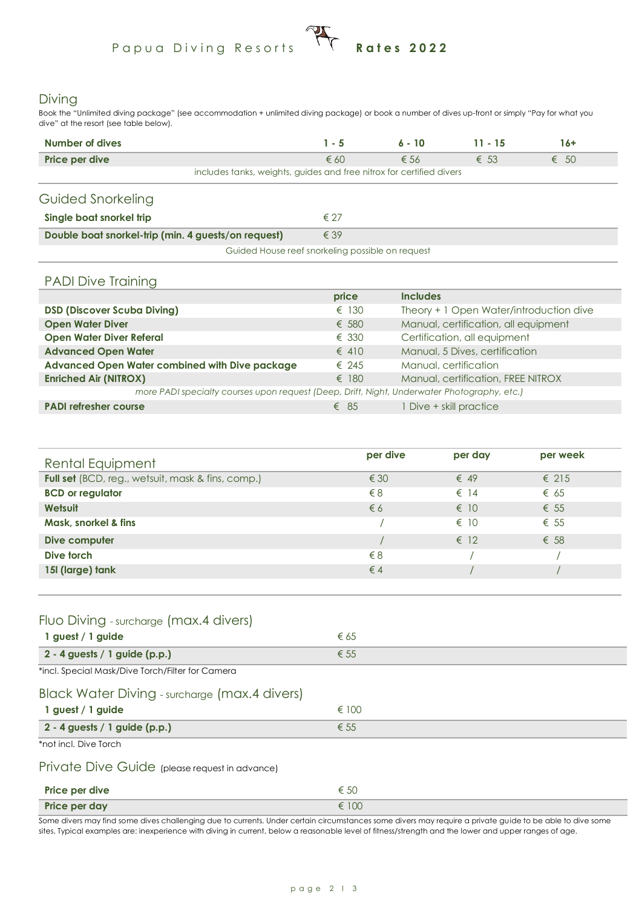# Papua Diving Resorts **Rates 2022**

#### Diving

Book the "Unlimited diving package" (see accommodation + unlimited diving package) or book a number of dives up-front or simply "Pay for what you dive" at the resort (see table below).

| Number of dives                                                      | $1 - 5$       | $6 - 10$      | $11 - 15$     | 16+           |
|----------------------------------------------------------------------|---------------|---------------|---------------|---------------|
| Price per dive                                                       | $\epsilon$ 60 | $\epsilon$ 56 | $\epsilon$ 53 | $\epsilon$ 50 |
| includes tanks, weights, guides and free nitrox for certified divers |               |               |               |               |
| Guided Snorkeling                                                    |               |               |               |               |
| Single boat snorkel trip                                             | $\epsilon$ 27 |               |               |               |
| Double boat snorkel-trip (min. 4 guests/on request)                  | $\epsilon$ 39 |               |               |               |
| Guided House reef snorkeling possible on request                     |               |               |               |               |

#### PADI Dive Training

|                                                                                             | price          | <b>Includes</b>                         |
|---------------------------------------------------------------------------------------------|----------------|-----------------------------------------|
| <b>DSD (Discover Scuba Diving)</b>                                                          | $\epsilon$ 130 | Theory + 1 Open Water/introduction dive |
| <b>Open Water Diver</b>                                                                     | € 580          | Manual, certification, all equipment    |
| <b>Open Water Diver Referal</b>                                                             | $\epsilon$ 330 | Certification, all equipment            |
| <b>Advanced Open Water</b>                                                                  | $\epsilon$ 410 | Manual, 5 Dives, certification          |
| Advanced Open Water combined with Dive package                                              | $\epsilon$ 245 | Manual, certification                   |
| <b>Enriched Air (NITROX)</b>                                                                | $\epsilon$ 180 | Manual, certification, FREE NITROX      |
| more PADI specialty courses upon request (Deep, Drift, Night, Underwater Photography, etc.) |                |                                         |
| <b>PADI refresher course</b>                                                                | $\epsilon$ 85  | 1 Dive + skill practice                 |

| Rental Equipment                                  | per dive      | per day       | per week       |  |
|---------------------------------------------------|---------------|---------------|----------------|--|
| Full set (BCD, reg., wetsuit, mask & fins, comp.) | $\epsilon$ 30 | $\epsilon$ 49 | $\epsilon$ 215 |  |
| <b>BCD</b> or regulator                           | $\xi$ 8       | $\epsilon$ 14 | $\epsilon$ 65  |  |
| Wetsuit                                           | $\epsilon$ 6  | $\epsilon$ 10 | $\epsilon$ 55  |  |
| Mask, snorkel & fins                              |               | $\epsilon$ 10 | $\epsilon$ 55  |  |
| Dive computer                                     |               | $\epsilon$ 12 | $\epsilon$ 58  |  |
| Dive torch                                        | $\xi$ 8       |               |                |  |
| 15I (large) tank                                  | $\epsilon$ 4  |               |                |  |
|                                                   |               |               |                |  |

### Fluo Diving - surcharge (max.4 divers)

| 1 guest / 1 guide                                | € 65           |
|--------------------------------------------------|----------------|
| $2 - 4$ guests / 1 guide (p.p.)                  | $\epsilon$ 55  |
| *incl. Special Mask/Dive Torch/Filter for Camera |                |
| Black Water Diving - surcharge (max.4 divers)    |                |
| 1 guest / 1 guide                                | $\epsilon$ 100 |
| $2 - 4$ guests / 1 guide (p.p.)                  | $\epsilon$ 55  |

\*not incl. Dive Torch

#### Private Dive Guide (please request in advance)

| Price per dive | € 50  |
|----------------|-------|
| Price per day  | € 100 |

Some divers may find some dives challenging due to currents. Under certain circumstances some divers may require a private guide to be able to dive some sites. Typical examples are: inexperience with diving in current, below a reasonable level of fitness/strength and the lower and upper ranges of age.